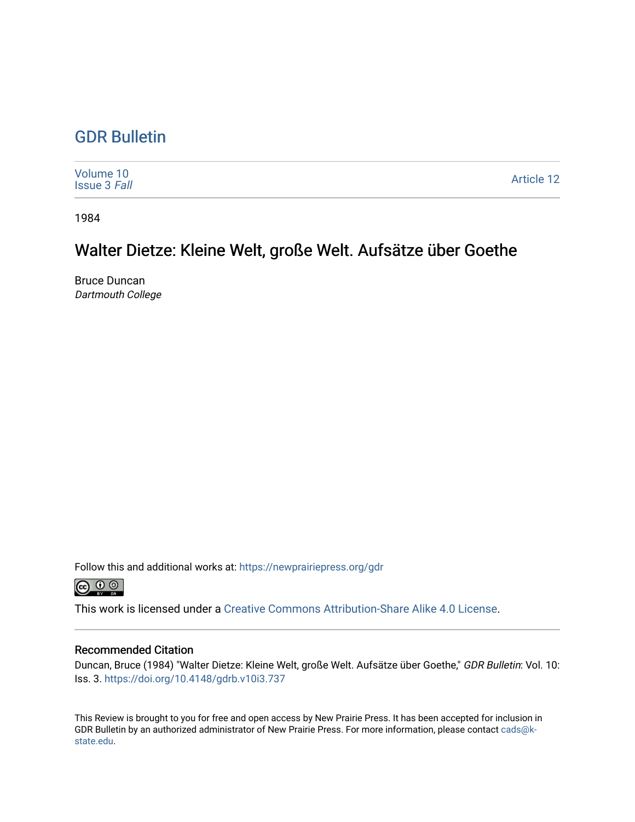## [GDR Bulletin](https://newprairiepress.org/gdr)

| Volume 10<br><b>Issue 3 Fall</b> | <b>Article 12</b> |
|----------------------------------|-------------------|
|----------------------------------|-------------------|

1984

## Walter Dietze: Kleine Welt, große Welt. Aufsätze über Goethe

Bruce Duncan Dartmouth College

Follow this and additional works at: [https://newprairiepress.org/gdr](https://newprairiepress.org/gdr?utm_source=newprairiepress.org%2Fgdr%2Fvol10%2Fiss3%2F12&utm_medium=PDF&utm_campaign=PDFCoverPages) 



This work is licensed under a [Creative Commons Attribution-Share Alike 4.0 License.](https://creativecommons.org/licenses/by-sa/4.0/)

## Recommended Citation

Duncan, Bruce (1984) "Walter Dietze: Kleine Welt, große Welt. Aufsätze über Goethe," GDR Bulletin: Vol. 10: Iss. 3. <https://doi.org/10.4148/gdrb.v10i3.737>

This Review is brought to you for free and open access by New Prairie Press. It has been accepted for inclusion in GDR Bulletin by an authorized administrator of New Prairie Press. For more information, please contact [cads@k](mailto:cads@k-state.edu)[state.edu](mailto:cads@k-state.edu).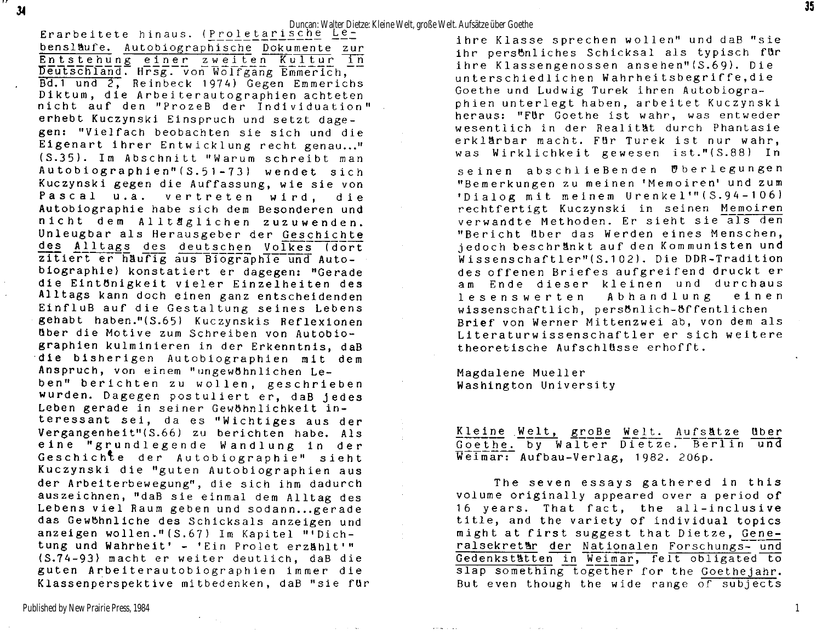**Erarbeitete** hinaus. (Proletarische Duncan: Walter Dietze: Kleine Welt, große Welt. Aufsätze über Goethe<br>Erarbeitete hinaus. (Proletarische Letarische Letarische Letarische Letarische Ringer) bensläufe. Autobiographische Dokumente zur Entstehung einer zweiten Kultur in Deutschland. Hrsg. von Wölfgang Emmerich, Bd.1 und 2, Reinbeck 1974) Gegen Emmerichs Diktum, die Arbeiterautographien achteten nicht auf den "ProzeB der Individuation". erhebt Kuczynski Einspruch und setzt dagegen: "Vielfach beobachten sie sich und die Eigenart ihrer Entwicklung recht genau..." (S.35). Im Abschnitt "Warum schreibt man Autobiographien"(S.51-73) wendet sich Kuczynski gegen die Auffassung, wie sie von Pascal u.a. vertreten wird, die Autobiographie habe sich dem Besonderen und nicht dem Alltäglichen zuzuwenden. Unleugbar als Herausgeber der Geschichte des Alltags des deutschen Volkes (dort zitiert er häufig aus Biographie und Autobiographie) konstatiert er dagegen: "Gerade die Eintönigkeit vieler Einzelheiten des Alltags kann doch einen ganz entscheidenden EinfluB auf die Gestaltung seines Lebens gehabt haben."(S.65) Kuczynskis Reflexionen Uber die Motive zum Schreiben von Autobiographien kulminieren in der Erkenntnis, daB die bisherigen Autobiographien mit dem Anspruch, von einem "ungewöhnlichen Leben" berichten zu wollen, geschrieben wurden. Dagegen postuliert er, daB jedes Leben gerade in seiner Gewöhnlichkeit interessant sei, da es "Wichtiges aus der Vergangenheit"(S.66) zu berichten habe. Als eine "grundlegende Wandlung in der Geschichte der Autobiographie" sieht Kuczynski die "guten Autobiographien aus der Arbeiterbewegung", die sich ihm dadurch auszeichnen, "daB sie einmal dem Alltag des Lebens viel Raum geben und sodann...gerade das Gewöhnliche des Schicksals anzeigen und anzeigen wollen."(S.67) Im Kapitel "'Dichtung und Wahrheit' - 'Ein Prolet erzählt'" (S.74-93) macht er weiter deutlich, daB die guten Arbeiterautobiographien immer die Klassenperspektive mitbedenken, daB "sie für

 $34$ 

ihre Klasse sprechen wollen" und daB "sie ihr persbnliches Schicksal als typisch für ihre Klassengenossen ansehen"(S.69). Die unterschiedlichen Wahrheitsbegriffe, die Goethe und Ludwig Turek ihren Autobiographien unterlegt haben, arbeitet Kuczynski heraus: "Für Goethe ist wahr, was entweder wesentlich in der Realität durch Phantasie erklärbar macht. Für Turek ist nur wahr, was Wirklichkeit gewesen ist."(S.88) In

seinen abschließenden Uberlegungen "Bemerkungen zu meinen 'Memoiren' und zum 'Dialog mit meinem Urenkel'" (S.94-106) rechtfertigt Kuczynski in seinen Memoiren verwandte Methoden. Er sieht sie als den "Bericht über das Werden eines Menschen, jedoch beschränkt auf den Kommunisten und Wissenschaftler"(S.102). Die DDR-Tradition des offenen Briefes aufgreifend druckt er am Ende dieser kleinen und durchaus lesenswerten Abhandlung einen wissenschaftlich, persönlich-öffentlichen Brief von Werner Mittenzwei ab, von dem als Literaturwissenschaftler er sich weitere theoretische Aufschlüsse erhofft.

Magdalene Mueller Washington University

 $\label{eq:1} \mathbf{v} \leftrightarrow \mathbf{w} \quad \forall \quad \mathbf{v} \in \mathbb{R}^n.$ 

Kleine Welt, groBe Welt. Aufsätze über Goethe. by Walter Dietze. Berlin und Weimar: Aufbau-Verlag, 1982. 206p.

The seven essays gathered in this volume originally appeared over a period of 16 years. That fact, the all-inclusive title, and the variety of individual topics might at first suggest that Dietze, Generalsekretär der Nationalen Forschungs- und Gedenkstätten in Weimar, felt obligated to slap something together for the Goethejahr. But even though the wide range of subjects

 $\mathbf{1}$